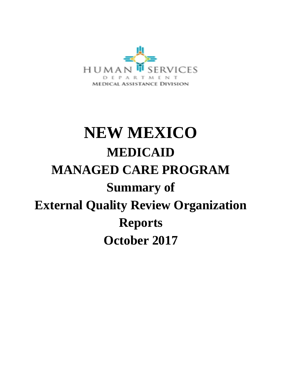

# **NEW MEXICO MEDICAID MANAGED CARE PROGRAM Summary of External Quality Review Organization Reports October 2017**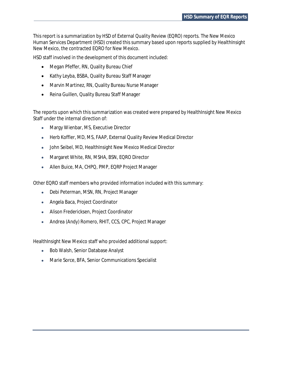This report is a summarization by HSD of External Quality Review (EQRO) reports. The New Mexico Human Services Department (HSD) created this summary based upon reports supplied by HealthInsight New Mexico, the contracted EQRO for New Mexico.

HSD staff involved in the development of this document included:

- · Megan Pfeffer, RN, Quality Bureau Chief
- · Kathy Leyba, BSBA, Quality Bureau Staff Manager
- · Marvin Martinez, RN, Quality Bureau Nurse Manager
- · Reina Guillen, Quality Bureau Staff Manager

The reports upon which this summarization was created were prepared by HealthInsight New Mexico Staff under the internal direction of:

- · Margy Wienbar, MS, Executive Director
- · Herb Koffler, MD, MS, FAAP, External Quality Review Medical Director
- · John Seibel, MD, HealthInsight New Mexico Medical Director
- · Margaret White, RN, MSHA, BSN, EQRO Director
- · Allen Buice, MA, CHPQ, PMP, EQRP Project Manager

Other EQRO staff members who provided information included with this summary:

- · Debi Peterman, MSN, RN, Project Manager
- · Angela Baca, Project Coordinator
- · Alison Fredericksen, Project Coordinator
- · Andrea (Andy) Romero, RHIT, CCS, CPC, Project Manager

HealthInsight New Mexico staff who provided additional support:

- · Bob Walsh, Senior Database Analyst
- · Marie Sorce, BFA, Senior Communications Specialist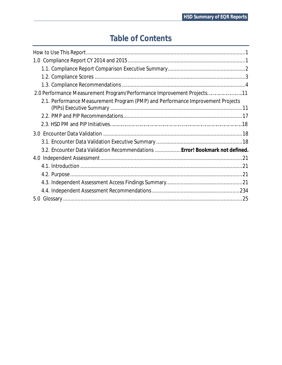# **Table of Contents**

| 2.0 Performance Measurement Program/Performance Improvement Projects11          |
|---------------------------------------------------------------------------------|
| 2.1. Performance Measurement Program (PMP) and Performance Improvement Projects |
|                                                                                 |
|                                                                                 |
|                                                                                 |
|                                                                                 |
|                                                                                 |
| 3.2. Encounter Data Validation Recommendations  Error! Bookmark not defined.    |
|                                                                                 |
|                                                                                 |
|                                                                                 |
|                                                                                 |
|                                                                                 |
|                                                                                 |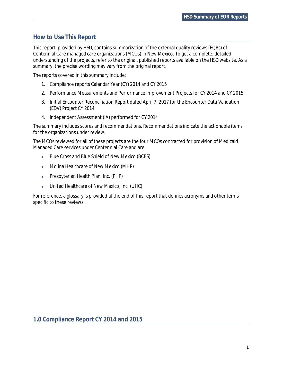# **How to Use This Report**

This report, provided by HSD, contains summarization of the external quality reviews (EQRs) of Centennial Care managed care organizations (MCOs) in New Mexico. To get a complete, detailed understanding of the projects, refer to the original, published reports available on the HSD website. As a summary, the precise wording may vary from the original report.

The reports covered in this summary include:

- 1. Compliance reports Calendar Year (CY) 2014 and CY 2015
- 2. Performance Measurements and Performance Improvement Projects for CY 2014 and CY 2015
- 3. Initial Encounter Reconciliation Report dated April 7, 2017 for the Encounter Data Validation (EDV) Project CY 2014
- 4. Independent Assessment (IA) performed for CY 2014

The summary includes scores and recommendations. Recommendations indicate the actionable items for the organizations under review.

The MCOs reviewed for all of these projects are the four MCOs contracted for provision of Medicaid Managed Care services under Centennial Care and are:

- · Blue Cross and Blue Shield of New Mexico (BCBS)
- · Molina Healthcare of New Mexico (MHP)
- · Presbyterian Health Plan, Inc. (PHP)
- · United Healthcare of New Mexico, Inc. (UHC)

For reference, a glossary is provided at the end of this report that defines acronyms and other terms specific to these reviews.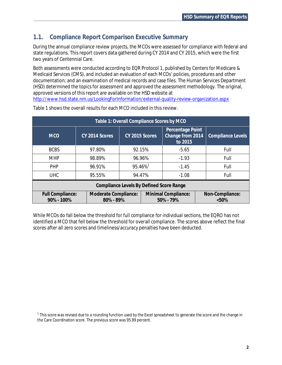# **1.1. Compliance Report Comparison Executive Summary**

During the annual compliance review projects, the MCOs were assessed for compliance with federal and state regulations. This report covers data gathered during CY 2014 and CY 2015, which were the first two years of Centennial Care.

Both assessments were conducted according to EQR Protocol 1, published by Centers for Medicare & Medicaid Services (CMS), and included an evaluation of each MCOs' policies, procedures and other documentation; and an examination of medical records and case files. The Human Services Department (HSD) determined the topics for assessment and approved the assessment methodology. The original, approved versions of this report are available on the HSD website at http://www.hsd.state.nm.us/LookingForInformation/external-quality-review-organization.aspx

| Table 1: Overall Compliance Scores by MCO                                                                               |                |                     |         |                                                 |  |                   |  |  |  |
|-------------------------------------------------------------------------------------------------------------------------|----------------|---------------------|---------|-------------------------------------------------|--|-------------------|--|--|--|
| <b>MCO</b>                                                                                                              | CY 2014 Scores | CY 2015 Scores      |         | Percentage Point<br>Change from 2014<br>to 2015 |  | Compliance Levels |  |  |  |
| <b>BCBS</b>                                                                                                             | 97.80%         | 92.15%              |         | $-5.65$                                         |  | Full              |  |  |  |
| <b>MHP</b>                                                                                                              | 98.89%         | 96.96%              |         | $-1.93$                                         |  | Full              |  |  |  |
| <b>PHP</b>                                                                                                              | 96.91%         | 95.46% <sup>1</sup> | $-1.45$ |                                                 |  | Full              |  |  |  |
| <b>UHC</b>                                                                                                              | 95.55%         | 94.47%              |         | $-1.08$                                         |  | Full              |  |  |  |
| Compliance Levels By Defined Score Range                                                                                |                |                     |         |                                                 |  |                   |  |  |  |
| <b>Minimal Compliance:</b><br>Full Compliance:<br>Moderate Compliance:<br>90% - 100%<br>80% - 89%<br>50% - 79%<br>< 50% |                |                     |         |                                                 |  | Non-Compliance:   |  |  |  |

Table 1 shows the overall results for each MCO included in this review.

While MCOs do fall below the threshold for full compliance for individual sections, the EQRO has not identified a MCO that fell below the threshold for overall compliance. The scores above reflect the final scores after all zero scores and timeliness/accuracy penalties have been deducted.

 $^1$  This score was revised due to a rounding function used by the Excel spreadsheet to generate the score and the change in the Care Coordination score. The previous score was 95.89 percent.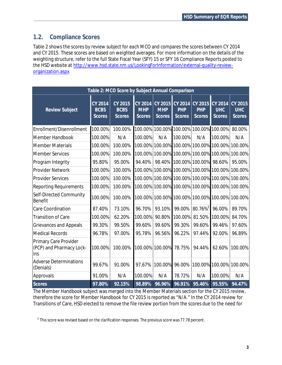# **1.2. Compliance Scores**

Table 2 shows the scores by review subject for each MCO and compares the scores between CY 2014 and CY 2015. These scores are based on weighted averages. For more information on the details of the weighting structure, refer to the full State Fiscal Year (SFY) 15 or SFY 16 Compliance Reports posted to the HSD website at http://www.hsd.state.nm.us/LookingForInformation/external-quality-revieworganization.aspx

|                                                          |                                                | Table 2: MCO Score by Subject Annual Comparison |                                               |                                        |                                               |                                        |                                        |                                        |  |  |
|----------------------------------------------------------|------------------------------------------------|-------------------------------------------------|-----------------------------------------------|----------------------------------------|-----------------------------------------------|----------------------------------------|----------------------------------------|----------------------------------------|--|--|
| <b>Review Subject</b>                                    | <b>CY 2014</b><br><b>BCBS</b><br><b>Scores</b> | CY 2015<br><b>BCBS</b><br><b>Scores</b>         | <b>CY 2014</b><br><b>MHP</b><br><b>Scores</b> | CY 2015<br><b>MHP</b><br><b>Scores</b> | <b>CY 2014</b><br><b>PHP</b><br><b>Scores</b> | CY 2015<br><b>PHP</b><br><b>Scores</b> | CY 2014<br><b>UHC</b><br><b>Scores</b> | CY 2015<br><b>UHC</b><br><b>Scores</b> |  |  |
| Enrollment/Disenrollment                                 | 100.00%                                        | 100.00%                                         | 100.00%                                       |                                        | 100.00% 100.00% 100.00% 100.00%               |                                        |                                        | 80.00%                                 |  |  |
| Member Handbook                                          | 100.00%                                        | N/A                                             | 100.00%                                       | N/A                                    | 100.00%                                       | N/A                                    | 100.00%                                | N/A                                    |  |  |
| <b>Member Materials</b>                                  | 100.00%                                        | 100.00%                                         | 100.00%                                       |                                        |                                               |                                        | 100.00% 100.00% 100.00% 100.00%        | 100.00%                                |  |  |
| <b>Member Services</b>                                   | 100.00%                                        | 100.00%                                         | 100.00%                                       |                                        | 100.00% 100.00% 100.00%                       |                                        | 100.00%                                | 100.00%                                |  |  |
| Program Integrity                                        | 95.80%                                         | 95.00%                                          | 94.40%                                        | 98.40%                                 |                                               | 100.00% 100.00%                        | 98.60%                                 | 95.00%                                 |  |  |
| <b>Provider Network</b>                                  | 100.00%                                        | 100.00%                                         | 100.00%                                       |                                        | 100.00% 100.00% 100.00%                       |                                        | 100.00%                                | 100.00%                                |  |  |
| <b>Provider Services</b>                                 | 100.00%                                        | 100.00%                                         |                                               |                                        | 100.00% 100.00% 100.00% 100.00%               |                                        | 100.00%                                | 100.00%                                |  |  |
| <b>Reporting Requirements</b>                            | 100.00%                                        | 100.00%                                         | 100.00%                                       |                                        | 100.00% 100.00% 100.00%                       |                                        | 100.00%                                | 100.00%                                |  |  |
| Self-Directed Community<br><b>Benefit</b>                | 100.00%                                        | 100.00%                                         | 100.00%                                       |                                        |                                               |                                        | 100.00% 100.00% 100.00% 100.00%        | 100.00%                                |  |  |
| <b>Care Coordination</b>                                 | 87.40%                                         | 73.10%                                          | 96.70%                                        | 93.10%                                 | 99.00%                                        | 80.76% <sup>2</sup>                    | 96.00%                                 | 89.70%                                 |  |  |
| <b>Transition of Care</b>                                | 100.00%                                        | 62.20%                                          | 100.00%                                       | 90.80%                                 | 100.00%                                       | 81.50%                                 | 100.00%                                | 84.70%                                 |  |  |
| <b>Grievances and Appeals</b>                            | 99.30%                                         | 99.50%                                          | 99.60%                                        | 99.60%                                 | 99.30%                                        | 99.60%                                 | 99.46%                                 | 97.60%                                 |  |  |
| <b>Medical Records</b>                                   | 96.78%                                         | 97.00%                                          | 95.78%                                        | 96.56%                                 | 96.22%                                        | 97.44%                                 | 92.00%                                 | 96.89%                                 |  |  |
| Primary Care Provider<br>(PCP) and Pharmacy Lock-<br>ins | 100.00%                                        | 100.00%                                         |                                               | 100.00% 100.00%                        | 78.75%                                        | 94.44%                                 | 62.60%                                 | 100.00%                                |  |  |
| <b>Adverse Determinations</b><br>(Denials)               | 99.67%                                         | 91.00%                                          | 97.67%                                        | 100.00%                                | 96.00%                                        | 100.00%                                | 100.00%                                | 100.00%                                |  |  |
| Approvals                                                | 91.00%                                         | N/A                                             | 100.00%                                       | N/A                                    | 78.72%                                        | N/A                                    | 100.00%                                | N/A                                    |  |  |
| <b>Scores</b>                                            | 97.80%                                         | 92.15%                                          | 98.89%                                        | 96.96%                                 | 96.91%                                        | 95.46%                                 | 95.55%                                 | 94.47%                                 |  |  |

The Member Handbook subject was merged into the Member Materials section for the CY 2015 review, therefore the score for Member Handbook for CY 2015 is reported as "N/A." In the CY 2014 review for Transitions of Care, HSD elected to remove the file review portion from the scores due to the need for

 $^{\text{2}}$  This score was revised based on the clarification responses. The previous score was 77.78 percent.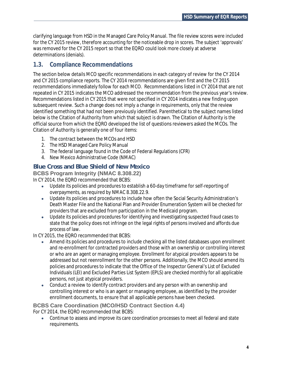clarifying language from HSD in the Managed Care Policy Manual. The file review scores were included for the CY 2015 review, therefore accounting for the noticeable drop in scores. The subject 'approvals' was removed for the CY 2015 report so that the EQRO could look more closely at adverse determinations (denials).

# **1.3. Compliance Recommendations**

The section below details MCO specific recommendations in each category of review for the CY 2014 and CY 2015 compliance reports. The CY 2014 recommendations are given first and the CY 2015 recommendations immediately follow for each MCO. Recommendations listed in CY 2014 that are not repeated in CY 2015 indicates the MCO addressed the recommendation from the previous year's review. Recommendations listed in CY 2015 that were not specified in CY 2014 indicates a new finding upon subsequent review. Such a change does not imply a change in requirements, only that the review identified something that had not been previously identified. Parenthetical to the subject names listed below is the Citation of Authority from which that subject is drawn. The Citation of Authority is the official source from which the EQRO developed the list of questions reviewers asked the MCOs. The Citation of Authority is generally one of four items:

- 1. The contract between the MCOs and HSD
- 2. The HSD Managed Care Policy Manual
- 3. The federal language found in the Code of Federal Regulations (CFR)
- 4. New Mexico Administrative Code (NMAC)

## **Blue Cross and Blue Shield of New Mexico**

**BCBS Program Integrity (NMAC 8.308.22)**

In CY 2014, the EQRO recommended that BCBS:

- · Update its policies and procedures to establish a 60-day timeframe for self-reporting of overpayments, as required by NMAC 8.308.22.9.
- · Update its policies and procedures to include how often the Social Security Administration's Death Master File and the National Plan and Provider Enumeration System will be checked for providers that are excluded from participation in the Medicaid program.
- · Update its policies and procedures for identifying and investigating suspected fraud cases to state that the policy does not infringe on the legal rights of persons involved and affords due process of law.

In CY 2015, the EQRO recommended that BCBS:

- Amend its policies and procedures to include checking all the listed databases upon enrollment and re-enrollment for contracted providers and those with an ownership or controlling interest or who are an agent or managing employee. Enrollment for atypical providers appears to be addressed but not reenrollment for the other persons. Additionally, the MCO should amend its policies and procedures to indicate that the Office of the Inspector General's List of Excluded Individuals (LEI) and Excluded Parties List System (EPLS) are checked monthly for all applicable persons, not just atypical providers.
- · Conduct a review to identify contract providers and any person with an ownership and controlling interest or who is an agent or managing employee, as identified by the provider enrollment documents, to ensure that all applicable persons have been checked.

#### **BCBS Care Coordination (MCO/HSD Contract Section 4.4)** For CY 2014, the EQRO recommended that BCBS:

· Continue to assess and improve its care coordination processes to meet all federal and state requirements.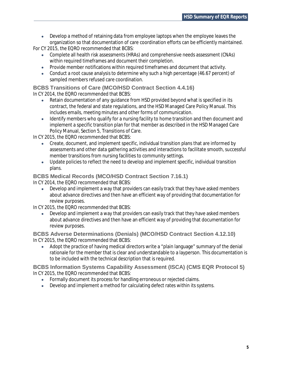· Develop a method of retaining data from employee laptops when the employee leaves the organization so that documentation of care coordination efforts can be efficiently maintained.

For CY 2015, the EQRO recommended that BCBS:

- · Complete all health risk assessments (HRAs) and comprehensive needs assessment (CNAs) within required timeframes and document their completion.
- · Provide member notifications within required timeframes and document that activity.
- · Conduct a root cause analysis to determine why such a high percentage (46.67 percent) of sampled members refused care coordination.

### **BCBS Transitions of Care (MCO/HSD Contract Section 4.4.16)**

In CY 2014, the EQRO recommended that BCBS:

- Retain documentation of any quidance from HSD provided beyond what is specified in its contract, the federal and state regulations, and the HSD Managed Care Policy Manual. This includes emails, meeting minutes and other forms of communication.
- · Identify members who qualify for a nursing facility to home transition and then document and implement a specific transition plan for that member as described in the HSD Managed Care Policy Manual, Section 5, Transitions of Care.

In CY 2015, the EQRO recommended that BCBS:

- · Create, document, and implement specific, individual transition plans that are informed by assessments and other data gathering activities and interactions to facilitate smooth, successful member transitions from nursing facilities to community settings.
- · Update policies to reflect the need to develop and implement specific, individual transition plans.

# **BCBS Medical Records (MCO/HSD Contract Section 7.16.1)**

In CY 2014, the EQRO recommended that BCBS:

Develop and implement a way that providers can easily track that they have asked members about advance directives and then have an efficient way of providing that documentation for review purposes.

In CY 2015, the EQRO recommended that BCBS:

Develop and implement a way that providers can easily track that they have asked members about advance directives and then have an efficient way of providing that documentation for review purposes.

**BCBS Adverse Determinations (Denials) (MCO/HSD Contract Section 4.12.10)** In CY 2015, the EQRO recommended that BCBS:

• Adopt the practice of having medical directors write a "plain language" summary of the denial rationale for the member that is clear and understandable to a layperson. This documentation is to be included with the technical description that is required.

**BCBS Information Systems Capability Assessment (ISCA) (CMS EQR Protocol 5)** In CY 2015, the EQRO recommended that BCBS:

- · Formally document its process for handling erroneous or rejected claims.
- Develop and implement a method for calculating defect rates within its systems.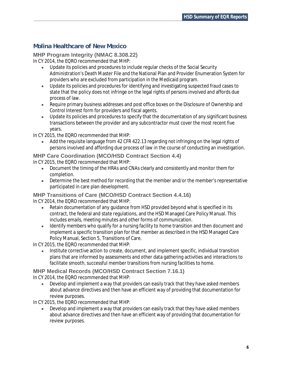# **Molina Healthcare of New Mexico**

**MHP Program Integrity (NMAC 8.308.22)** In CY 2014, the EQRO recommended that MHP:

- · Update its policies and procedures to include regular checks of the Social Security Administration's Death Master File and the National Plan and Provider Enumeration System for providers who are excluded from participation in the Medicaid program.
- · Update its policies and procedures for identifying and investigating suspected fraud cases to state that the policy does not infringe on the legal rights of persons involved and affords due process of law.
- Require primary business addresses and post office boxes on the Disclosure of Ownership and Control Interest form for providers and fiscal agents.
- · Update its policies and procedures to specify that the documentation of any significant business transactions between the provider and any subcontractor must cover the most recent five years.

In CY 2015, the EQRO recommended that MHP:

· Add the requisite language from 42 CFR 422.13 regarding not infringing on the legal rights of persons involved and affording due process of law in the course of conducting an investigation.

## **MHP Care Coordination (MCO/HSD Contract Section 4.4)**

In CY 2015, the EQRO recommended that MHP:

- · Document the timing of the HRAs and CNAs clearly and consistently and monitor them for completion.
- · Determine the best method for recording that the member and/or the member's representative participated in care plan development.

**MHP Transitions of Care (MCO/HSD Contract Section 4.4.16)** In CY 2014, the EQRO recommended that MHP:

- Retain documentation of any guidance from HSD provided beyond what is specified in its contract, the federal and state regulations, and the HSD Managed Care Policy Manual. This includes emails, meeting minutes and other forms of communication.
- · Identify members who qualify for a nursing facility to home transition and then document and implement a specific transition plan for that member as described in the HSD Managed Care Policy Manual, Section 5, Transitions of Care.

In CY 2015, the EQRO recommended that MHP:

· Institute corrective action to create, document, and implement specific, individual transition plans that are informed by assessments and other data gathering activities and interactions to facilitate smooth, successful member transitions from nursing facilities to home.

**MHP Medical Records (MCO/HSD Contract Section 7.16.1)** In CY 2014, the EQRO recommended that MHP:

· Develop and implement a way that providers can easily track that they have asked members about advance directives and then have an efficient way of providing that documentation for review purposes.

In CY 2015, the EQRO recommended that MHP:

· Develop and implement a way that providers can easily track that they have asked members about advance directives and then have an efficient way of providing that documentation for review purposes.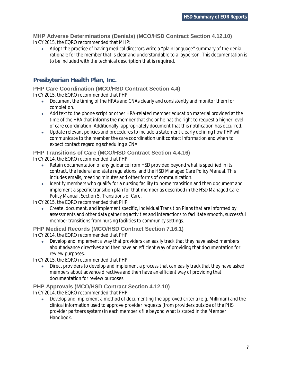**MHP Adverse Determinations (Denials) (MCO/HSD Contract Section 4.12.10)** In CY 2015, the EQRO recommended that MHP:

· Adopt the practice of having medical directors write a "plain language" summary of the denial rationale for the member that is clear and understandable to a layperson. This documentation is to be included with the technical description that is required.

# **Presbyterian Health Plan, Inc.**

**PHP Care Coordination (MCO/HSD Contract Section 4.4)** In CY 2015, the EQRO recommended that PHP:

- · Document the timing of the HRAs and CNAs clearly and consistently and monitor them for completion.
- · Add text to the phone script or other HRA-related member education material provided at the time of the HRA that informs the member that she or he has the right to request a higher level of care coordination. Additionally, appropriately document that this notification has occurred.
- · Update relevant policies and procedures to include a statement clearly defining how PHP will communicate to the member the care coordination unit contact Information and when to expect contact regarding scheduling a CNA.

# **PHP Transitions of Care (MCO/HSD Contract Section 4.4.16)**

In CY 2014, the EQRO recommended that PHP:

- Retain documentation of any quidance from HSD provided beyond what is specified in its contract, the federal and state regulations, and the HSD Managed Care Policy Manual. This includes emails, meeting minutes and other forms of communication.
- · Identify members who qualify for a nursing facility to home transition and then document and implement a specific transition plan for that member as described in the HSD Managed Care Policy Manual, Section 5, Transitions of Care.

In CY 2015, the EQRO recommended that PHP:

· Create, document, and implement specific, individual Transition Plans that are informed by assessments and other data gathering activities and interactions to facilitate smooth, successful member transitions from nursing facilities to community settings.

#### **PHP Medical Records (MCO/HSD Contract Section 7.16.1)** In CY 2014, the EQRO recommended that PHP:

· Develop and implement a way that providers can easily track that they have asked members about advance directives and then have an efficient way of providing that documentation for review purposes.

In CY 2015, the EQRO recommended that PHP:

Direct providers to develop and implement a process that can easily track that they have asked members about advance directives and then have an efficient way of providing that documentation for review purposes.

#### **PHP Approvals (MCO/HSD Contract Section 4.12.10)** In CY 2014, the EQRO recommended that PHP:

· Develop and implement a method of documenting the approved criteria (e.g. Milliman) and the clinical information used to approve provider requests (from providers outside of the PHS provider partners system) in each member's file beyond what is stated in the Member Handbook.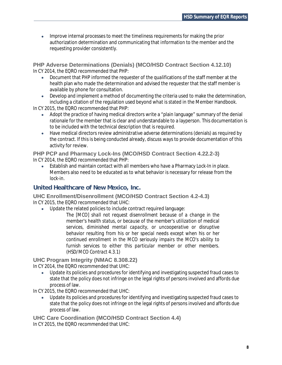· Improve internal processes to meet the timeliness requirements for making the prior authorization determination and communicating that information to the member and the requesting provider consistently.

**PHP Adverse Determinations (Denials) (MCO/HSD Contract Section 4.12.10)** In CY 2014, the EQRO recommended that PHP:

- · Document that PHP informed the requester of the qualifications of the staff member at the health plan who made the determination and advised the requester that the staff member is available by phone for consultation.
- Develop and implement a method of documenting the criteria used to make the determination, including a citation of the regulation used beyond what is stated in the Member Handbook.

In CY 2015, the EQRO recommended that PHP:

- · Adopt the practice of having medical directors write a "plain language" summary of the denial rationale for the member that is clear and understandable to a layperson. This documentation is to be included with the technical description that is required.
- · Have medical directors review administrative adverse determinations (denials) as required by the contract. If this is being conducted already, discuss ways to provide documentation of this activity for review.

**PHP PCP and Pharmacy Lock-Ins (MCO/HSD Contract Section 4.22.2-3)** In CY 2014, the EQRO recommended that PHP:

Establish and maintain contact with all members who have a Pharmacy Lock-In in place. Members also need to be educated as to what behavior is necessary for release from the lock-in.

#### **United Healthcare of New Mexico, Inc.**

**UHC Enrollment/Disenrollment (MCO/HSD Contract Section 4.2-4.3)** In CY 2015, the EQRO recommended that UHC:

- · Update the related policies to include contract required language:
	- *The [MCO] shall not request disenrollment because of a change in the member's health status, or because of the member's utilization of medical services, diminished mental capacity, or uncooperative or disruptive behavior resulting from his or her special needs except when his or her continued enrollment in the MCO seriously impairs the MCO's ability to furnish services to either this particular member or other members. (HSD/MCO Contract 4.3.1)*

**UHC Program Integrity (NMAC 8.308.22)**

In CY 2014, the EQRO recommended that UHC:

· Update its policies and procedures for identifying and investigating suspected fraud cases to state that the policy does not infringe on the legal rights of persons involved and affords due process of law.

In CY 2015, the EQRO recommended that UHC:

Update its policies and procedures for identifying and investigating suspected fraud cases to state that the policy does not infringe on the legal rights of persons involved and affords due process of law.

**UHC Care Coordination (MCO/HSD Contract Section 4.4)** In CY 2015, the EQRO recommended that UHC: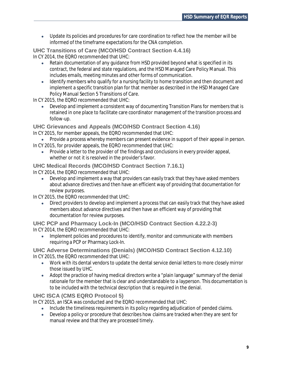· Update its policies and procedures for care coordination to reflect how the member will be informed of the timeframe expectations for the CNA completion.

**UHC Transitions of Care (MCO/HSD Contract Section 4.4.16)** In CY 2014, the EQRO recommended that UHC:

- · Retain documentation of any guidance from HSD provided beyond what is specified in its contract, the federal and state regulations, and the HSD Managed Care Policy Manual. This includes emails, meeting minutes and other forms of communication.
- · Identify members who qualify for a nursing facility to home transition and then document and implement a specific transition plan for that member as described in the HSD Managed Care Policy Manual Section 5 Transitions of Care.

In CY 2015, the EQRO recommended that UHC:

Develop and implement a consistent way of documenting Transition Plans for members that is retained in one place to facilitate care coordinator management of the transition process and follow-up.

**UHC Grievances and Appeals (MCO/HSD Contract Section 4.16)**

In CY 2015, for member appeals, the EQRO recommended that UHC:

Provide a process whereby members can present evidence in support of their appeal in person. In CY 2015, for provider appeals, the EQRO recommended that UHC:

· Provide a letter to the provider of the findings and conclusions in every provider appeal, whether or not it is resolved in the provider's favor.

**UHC Medical Records (MCO/HSD Contract Section 7.16.1)** In CY 2014, the EQRO recommended that UHC:

· Develop and implement a way that providers can easily track that they have asked members about advance directives and then have an efficient way of providing that documentation for review purposes.

In CY 2015, the EQRO recommended that UHC:

Direct providers to develop and implement a process that can easily track that they have asked members about advance directives and then have an efficient way of providing that documentation for review purposes.

**UHC PCP and Pharmacy Lock-In (MCO/HSD Contract Section 4.22.2-3)** In CY 2014, the EQRO recommended that UHC:

· Implement policies and procedures to identify, monitor and communicate with members requiring a PCP or Pharmacy Lock-In.

**UHC Adverse Determinations (Denials) (MCO/HSD Contract Section 4.12.10)** In CY 2015, the EQRO recommended that UHC:

- · Work with its dental vendors to update the dental service denial letters to more closely mirror those issued by UHC.
- · Adopt the practice of having medical directors write a "plain language" summary of the denial rationale for the member that is clear and understandable to a layperson. This documentation is to be included with the technical description that is required in the denial.

#### **UHC ISCA (CMS EQRO Protocol 5)**

In CY 2015, an ISCA was conducted and the EQRO recommended that UHC:

- · Include the timeliness requirements in its policy regarding adjudication of pended claims.
- · Develop a policy or procedure that describes how claims are tracked when they are sent for manual review and that they are processed timely.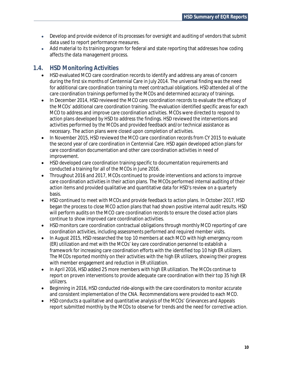- · Develop and provide evidence of its processes for oversight and auditing of vendors that submit data used to report performance measures.
- · Add material to its training program for federal and state reporting that addresses how coding affects the data management process.

# **1.4. HSD Monitoring Activities**

- · HSD evaluated MCO care coordination records to identify and address any areas of concern during the first six months of Centennial Care in July 2014. The universal finding was the need for additional care coordination training to meet contractual obligations. HSD attended all of the care coordination trainings performed by the MCOs and determined accuracy of trainings.
- · In December 2014, HSD reviewed the MCO care coordination records to evaluate the efficacy of the MCOs' additional care coordination training. The evaluation identified specific areas for each MCO to address and improve care coordination activities. MCOs were directed to respond to action plans developed by HSD to address the findings. HSD reviewed the interventions and activities performed by the MCOs and provided feedback and/or technical assistance as necessary. The action plans were closed upon completion of activities.
- · In November 2015, HSD reviewed the MCO care coordination records from CY 2015 to evaluate the second year of care coordination in Centennial Care. HSD again developed action plans for care coordination documentation and other care coordination activities in need of improvement.
- · HSD developed care coordination training specific to documentation requirements and conducted a training for all of the MCOs in June 2016.
- · Throughout 2016 and 2017, MCOs continued to provide interventions and actions to improve care coordination activities in their action plans. The MCOs performed internal auditing of their action items and provided qualitative and quantitative data for HSD's review on a quarterly basis.
- · HSD continued to meet with MCOs and provide feedback to action plans. In October 2017, HSD began the process to close MCO action plans that had shown positive internal audit results. HSD will perform audits on the MCO care coordination records to ensure the closed action plans continue to show improved care coordination activities.
- · HSD monitors care coordination contractual obligations through monthly MCO reporting of care coordination activities, including assessments performed and required member visits.
- In August 2015, HSD researched the top 10 members at each MCO with high emergency room (ER) utilization and met with the MCOs' key care coordination personnel to establish a framework for increasing care coordination efforts with the identified top 10 high ER utilizers. The MCOs reported monthly on their activities with the high ER utilizers, showing their progress with member engagement and reduction in ER utilization.
- · In April 2016, HSD added 25 more members with high ER utilization. The MCOs continue to report on proven interventions to provide adequate care coordination with their top 35 high ER utilizers.
- Beginning in 2016, HSD conducted ride-alongs with the care coordinators to monitor accurate and consistent implementation of the CNA. Recommendations were provided to each MCO.
- · HSD conducts a qualitative and quantitative analysis of the MCOs' Grievances and Appeals report submitted monthly by the MCOs to observe for trends and the need for corrective action.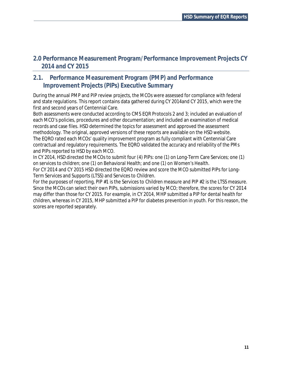# **2.0 Performance Measurement Program/Performance Improvement Projects CY 2014 and CY 2015**

# **2.1. Performance Measurement Program (PMP) and Performance Improvement Projects (PIPs) Executive Summary**

During the annual PMP and PIP review projects, the MCOs were assessed for compliance with federal and state regulations. This report contains data gathered during CY 2014and CY 2015, which were the first and second years of Centennial Care.

Both assessments were conducted according to CMS EQR Protocols 2 and 3; included an evaluation of each MCO's policies, procedures and other documentation; and included an examination of medical records and case files. HSD determined the topics for assessment and approved the assessment methodology. The original, approved versions of these reports are available on the HSD website. The EQRO rated each MCOs' quality improvement program as fully compliant with Centennial Care contractual and regulatory requirements. The EQRO validated the accuracy and reliability of the PMs and PIPs reported to HSD by each MCO.

In CY 2014, HSD directed the MCOs to submit four (4) PIPs: one (1) on Long-Term Care Services; one (1) on services to children; one (1) on Behavioral Health; and one (1) on Women's Health.

For CY 2014 and CY 2015 HSD directed the EQRO review and score the MCO submitted PIPs for Long-Term Services and Supports (LTSS) and Services to Children.

For the purposes of reporting, PIP #1 is the Services to Children measure and PIP #2 is the LTSS measure. Since the MCOs can select their own PIPs, submissions varied by MCO; therefore, the scores for CY 2014 may differ than those for CY 2015. For example, in CY 2014, MHP submitted a PIP for dental health for children, whereas in CY 2015, MHP submitted a PIP for diabetes prevention in youth. For this reason, the scores are reported separately.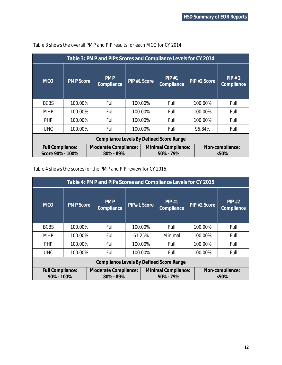| Table 3: PMP and PIPs Scores and Compliance Levels for CY 2014 |                  |                                   |                                                              |  |                     |              |                     |  |  |
|----------------------------------------------------------------|------------------|-----------------------------------|--------------------------------------------------------------|--|---------------------|--------------|---------------------|--|--|
| <b>MCO</b>                                                     | <b>PMP Score</b> | <b>PMP</b><br>Compliance          | PIP #1 Score                                                 |  | PIP#1<br>Compliance | PIP #2 Score | PIP#2<br>Compliance |  |  |
| <b>BCBS</b>                                                    | 100.00%          | Full                              | 100.00%                                                      |  | Full                | 100.00%      | Full                |  |  |
| <b>MHP</b>                                                     | 100.00%          | Full                              | 100.00%                                                      |  | Full                | 100.00%      | Full                |  |  |
| <b>PHP</b>                                                     | 100.00%          | Full                              | 100.00%                                                      |  | Full                | 100.00%      | Full                |  |  |
| <b>UHC</b>                                                     | 100.00%          | Full                              | 100.00%                                                      |  | Full                | 96.84%       | Full                |  |  |
| Compliance Levels By Defined Score Range                       |                  |                                   |                                                              |  |                     |              |                     |  |  |
| Full Compliance:<br>Score 90% - 100%                           |                  | Moderate Compliance:<br>80% - 89% | Minimal Compliance:<br>Non-compliance:<br>50% - 79%<br>< 50% |  |                     |              |                     |  |  |

Table 3 shows the overall PMP and PIP results for each MCO for CY 2014.

Table 4 shows the scores for the PMP and PIP review for CY 2015.

| Table 4: PMP and PIPs Scores and Compliance Levels for CY 2015 |                                                                                                                                     |                          |             |  |                     |              |                     |  |  |
|----------------------------------------------------------------|-------------------------------------------------------------------------------------------------------------------------------------|--------------------------|-------------|--|---------------------|--------------|---------------------|--|--|
| <b>MCO</b>                                                     | <b>PMP</b> Score                                                                                                                    | <b>PMP</b><br>Compliance | PIP#1 Score |  | PIP#1<br>Compliance | PIP #2 Score | PIP#2<br>Compliance |  |  |
| <b>BCBS</b>                                                    | 100.00%                                                                                                                             | Full                     | 100.00%     |  | Full                | 100.00%      | Full                |  |  |
| <b>MHP</b>                                                     | 100.00%                                                                                                                             | Full                     | 61.25%      |  | Minimal             | 100.00%      | Full                |  |  |
| <b>PHP</b>                                                     | 100.00%                                                                                                                             | Full                     | 100.00%     |  | Full                | 100.00%      | Full                |  |  |
| <b>UHC</b>                                                     | 100.00%                                                                                                                             | Full                     | 100.00%     |  | Full                | 100.00%      | Full                |  |  |
| Compliance Levels By Defined Score Range                       |                                                                                                                                     |                          |             |  |                     |              |                     |  |  |
|                                                                | Full Compliance:<br>Minimal Compliance:<br>Moderate Compliance:<br>Non-compliance:<br>90% - 100%<br>80% - 89%<br>50% - 79%<br>< 50% |                          |             |  |                     |              |                     |  |  |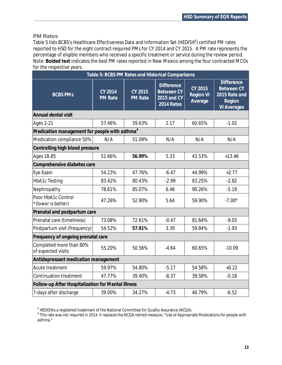#### **PM Rates**

Table 5 lists BCBS's Healthcare Effectiveness Data and Information Set (HEDIS®<sup>3</sup>) certified PM rates reported to HSD for the eight contract-required PMs for CY 2014 and CY 2015. A PM rate represents the percentage of eligible members who received a specific treatment or service during the review period. Note: **Bolded text** indicates the best PM rates reported in New Mexico among the four contracted MCOs for the respective years.

|                                                           | Table 5: BCBS PM Rates and Historical Comparisons |                           |                                                                     |                                        |                                                                                         |  |  |  |
|-----------------------------------------------------------|---------------------------------------------------|---------------------------|---------------------------------------------------------------------|----------------------------------------|-----------------------------------------------------------------------------------------|--|--|--|
| <b>BCBS PMS</b>                                           | CY 2014<br><b>PM Rate</b>                         | CY 2015<br><b>PM Rate</b> | <b>Difference</b><br><b>Between CY</b><br>2015 and CY<br>2014 Rates | CY 2015<br><b>Region VI</b><br>Average | <b>Difference</b><br><b>Between CY</b><br>2015 Rate and<br>Region<br><b>VI Averages</b> |  |  |  |
| Annual dental visit                                       |                                                   |                           |                                                                     |                                        |                                                                                         |  |  |  |
| <b>Ages 2-21</b>                                          | 57.46%                                            | 59.63%                    | 2.17                                                                | 60.65%                                 | $-1.02$                                                                                 |  |  |  |
| Medication management for people with asthma <sup>4</sup> |                                                   |                           |                                                                     |                                        |                                                                                         |  |  |  |
| Medication compliance 50%                                 | N/A                                               | 51.09%                    | N/A                                                                 | N/A                                    | N/A                                                                                     |  |  |  |
| Controlling high blood pressure                           |                                                   |                           |                                                                     |                                        |                                                                                         |  |  |  |
| Ages 18-85                                                | 51.66%                                            | 56.99%                    | 5.33                                                                | 43.53%                                 | $+13.46$                                                                                |  |  |  |
| Comprehensive diabetes care                               |                                                   |                           |                                                                     |                                        |                                                                                         |  |  |  |
| Eye Exam                                                  | 54.23%                                            | 47.76%                    | $-6.47$                                                             | 44.99%                                 | $+2.77$                                                                                 |  |  |  |
| <b>HbA1c Testing</b>                                      | 83.42%                                            | 80.43%                    | $-2.99$                                                             | 83.25%                                 | $-2.82$                                                                                 |  |  |  |
| Nephropathy                                               | 78.61%                                            | 85.07%                    | 6.46                                                                | 90.26%                                 | $-5.19$                                                                                 |  |  |  |
| Poor HbA1c Control<br>*(lower is better)                  | 47.26%                                            | 52.90%                    | 5.64                                                                | 59.90%                                 | $-7.00*$                                                                                |  |  |  |
| Prenatal and postpartum care                              |                                                   |                           |                                                                     |                                        |                                                                                         |  |  |  |
| Prenatal care (timeliness)                                | 73.08%                                            | 72.61%                    | $-0.47$                                                             | 81.64%                                 | $-9.03$                                                                                 |  |  |  |
| Postpartum visit (frequency)                              | 54.52%                                            | 57.91%                    | 3.39                                                                | 59.84%                                 | $-1.93$                                                                                 |  |  |  |
| Frequency of ongoing prenatal care                        |                                                   |                           |                                                                     |                                        |                                                                                         |  |  |  |
| Completed more than 80%<br>of expected visits             | 55.20%                                            | 50.56%                    | $-4.64$                                                             | 60.65%                                 | $-10.09$                                                                                |  |  |  |
| Antidepressant medication management                      |                                                   |                           |                                                                     |                                        |                                                                                         |  |  |  |
| Acute treatment                                           | 59.97%                                            | 54.80%                    | $-5.17$                                                             | 54.58%                                 | $+0.22$                                                                                 |  |  |  |
| <b>Continuation treatment</b>                             | 47.77%                                            | 39.40%                    | $-8.37$                                                             | 39.58%                                 | $-0.18$                                                                                 |  |  |  |
| Follow-up After Hospitalization for Mental Illness        |                                                   |                           |                                                                     |                                        |                                                                                         |  |  |  |
| 7-days after discharge                                    | 39.00%                                            | 34.27%                    | $-4.73$                                                             | 40.79%                                 | $-6.52$                                                                                 |  |  |  |

 $^3$  HEDIS® is a registered trademark of the National Committee for Quality Assurance (NCQA).

<sup>4</sup> This rate was not required in 2014. It replaces the NCQA retired measure, "Use of Appropriate Medications for people with asthma."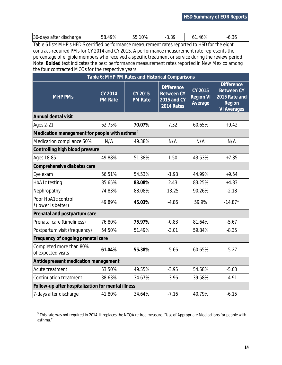| $30 - c$<br>after discharge<br>davs | 9% | $0\%$<br>. . | റ<br>ບ.ບ | $\overline{\phantom{a}}$<br>46Y | - 1<br>u.ju |
|-------------------------------------|----|--------------|----------|---------------------------------|-------------|
|                                     |    |              |          |                                 |             |

Table 6 lists MHP's HEDIS certified performance measurement rates reported to HSD for the eight contract-required PMs for CY 2014 and CY 2015. A performance measurement rate represents the percentage of eligible members who received a specific treatment or service during the review period. Note: **Bolded** text indicates the best performance measurement rates reported in New Mexico among the four contracted MCOs for the respective years.

| Table 6: MHP PM Rates and Historical Comparisons          |                                  |                           |                                                                     |                                        |                                                                                         |  |  |  |
|-----------------------------------------------------------|----------------------------------|---------------------------|---------------------------------------------------------------------|----------------------------------------|-----------------------------------------------------------------------------------------|--|--|--|
| <b>MHP PMs</b>                                            | <b>CY 2014</b><br><b>PM Rate</b> | CY 2015<br><b>PM</b> Rate | <b>Difference</b><br><b>Between CY</b><br>2015 and CY<br>2014 Rates | CY 2015<br><b>Region VI</b><br>Average | <b>Difference</b><br><b>Between CY</b><br>2015 Rate and<br>Region<br><b>VI Averages</b> |  |  |  |
| Annual dental visit                                       |                                  |                           |                                                                     |                                        |                                                                                         |  |  |  |
| <b>Ages 2-21</b>                                          | 62.75%                           | 70.07%                    | 7.32                                                                | 60.65%                                 | $+9.42$                                                                                 |  |  |  |
| Medication management for people with asthma <sup>5</sup> |                                  |                           |                                                                     |                                        |                                                                                         |  |  |  |
| Medication compliance 50%                                 | N/A                              | 49.38%                    | N/A                                                                 | N/A                                    | N/A                                                                                     |  |  |  |
| Controlling high blood pressure                           |                                  |                           |                                                                     |                                        |                                                                                         |  |  |  |
| <b>Ages 18-85</b>                                         | 49.88%                           | 51.38%                    | 1.50                                                                | 43.53%                                 | $+7.85$                                                                                 |  |  |  |
| Comprehensive diabetes care                               |                                  |                           |                                                                     |                                        |                                                                                         |  |  |  |
| Eye exam                                                  | 56.51%                           | 54.53%                    | $-1.98$                                                             | 44.99%                                 | $+9.54$                                                                                 |  |  |  |
| HbA1c testing                                             | 85.65%                           | 88.08%                    | 2.43                                                                | 83.25%                                 | $+4.83$                                                                                 |  |  |  |
| Nephropathy                                               | 74.83%                           | 88.08%                    | 13.25                                                               | 90.26%                                 | $-2.18$                                                                                 |  |  |  |
| Poor HbA1c control<br>*(lower is better)                  | 49.89%                           | 45.03%                    | $-4.86$                                                             | 59.9%                                  | $-14.87*$                                                                               |  |  |  |
| Prenatal and postpartum care                              |                                  |                           |                                                                     |                                        |                                                                                         |  |  |  |
| Prenatal care (timeliness)                                | 76.80%                           | 75.97%                    | $-0.83$                                                             | 81.64%                                 | $-5.67$                                                                                 |  |  |  |
| Postpartum visit (frequency)                              | 54.50%                           | 51.49%                    | $-3.01$                                                             | 59.84%                                 | $-8.35$                                                                                 |  |  |  |
| Frequency of ongoing prenatal care                        |                                  |                           |                                                                     |                                        |                                                                                         |  |  |  |
| Completed more than 80%<br>of expected visits             | 61.04%                           | 55.38%                    | $-5.66$                                                             | 60.65%                                 | $-5.27$                                                                                 |  |  |  |
| Antidepressant medication management                      |                                  |                           |                                                                     |                                        |                                                                                         |  |  |  |
| Acute treatment                                           | 53.50%                           | 49.55%                    | $-3.95$                                                             | 54.58%                                 | $-5.03$                                                                                 |  |  |  |
| <b>Continuation treatment</b>                             | 38.63%                           | 34.67%                    | $-3.96$                                                             | 39.58%                                 | $-4.91$                                                                                 |  |  |  |
| Follow-up after hospitalization for mental illness        |                                  |                           |                                                                     |                                        |                                                                                         |  |  |  |
| 7-days after discharge                                    | 41.80%                           | 34.64%                    | $-7.16$                                                             | 40.79%                                 | $-6.15$                                                                                 |  |  |  |

 $^5$  This rate was not required in 2014. It replaces the NCQA retired measure, "Use of Appropriate Medications for people with asthma."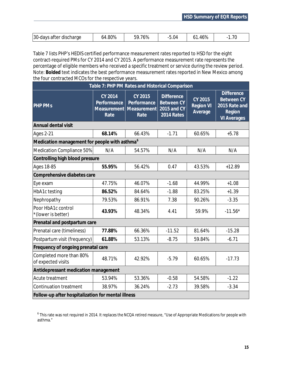| 30-days<br>after discharge ; | 0U0<br>64<br>.OU 70 | ' ⁄ე%<br>nu | (14) | $\sim$ 0/ |  |
|------------------------------|---------------------|-------------|------|-----------|--|

Table 7 lists PHP's HEDIS certified performance measurement rates reported to HSD for the eight contract-required PMs for CY 2014 and CY 2015. A performance measurement rate represents the percentage of eligible members who received a specific treatment or service during the review period. Note: **Bolded** text indicates the best performance measurement rates reported in New Mexico among the four contracted MCOs for the respective years.

| Table 7: PHP PM Rates and Historical Comparison           |                                                      |                                               |                                                                     |                                        |                                                                                         |  |  |
|-----------------------------------------------------------|------------------------------------------------------|-----------------------------------------------|---------------------------------------------------------------------|----------------------------------------|-----------------------------------------------------------------------------------------|--|--|
| <b>PHP PMS</b>                                            | CY 2014<br>Performance<br><b>Measurement</b><br>Rate | CY 2015<br>Performance<br>Measurement<br>Rate | <b>Difference</b><br><b>Between CY</b><br>2015 and CY<br>2014 Rates | CY 2015<br><b>Region VI</b><br>Average | <b>Difference</b><br><b>Between CY</b><br>2015 Rate and<br>Region<br><b>VI Averages</b> |  |  |
| Annual dental visit                                       |                                                      |                                               |                                                                     |                                        |                                                                                         |  |  |
| <b>Ages 2-21</b>                                          | 68.14%                                               | 66.43%                                        | $-1.71$                                                             | 60.65%                                 | $+5.78$                                                                                 |  |  |
| Medication management for people with asthma <sup>6</sup> |                                                      |                                               |                                                                     |                                        |                                                                                         |  |  |
| Medication Compliance 50%                                 | N/A                                                  | 54.57%                                        | N/A                                                                 | N/A                                    | N/A                                                                                     |  |  |
| Controlling high blood pressure                           |                                                      |                                               |                                                                     |                                        |                                                                                         |  |  |
| <b>Ages 18-85</b>                                         | 55.95%                                               | 56.42%                                        | 0.47                                                                | 43.53%                                 | $+12.89$                                                                                |  |  |
| Comprehensive diabetes care                               |                                                      |                                               |                                                                     |                                        |                                                                                         |  |  |
| Eye exam                                                  | 47.75%                                               | 46.07%                                        | $-1.68$                                                             | 44.99%                                 | $+1.08$                                                                                 |  |  |
| HbA1c testing                                             | 86.52%                                               | 84.64%                                        | $-1.88$                                                             | 83.25%                                 | $+1.39$                                                                                 |  |  |
| Nephropathy                                               | 79.53%                                               | 86.91%                                        | 7.38                                                                | 90.26%                                 | $-3.35$                                                                                 |  |  |
| Poor HbA1c control<br>*(lower is better)                  | 43.93%                                               | 48.34%                                        | 4.41                                                                | 59.9%                                  | $-11.56*$                                                                               |  |  |
| Prenatal and postpartum care                              |                                                      |                                               |                                                                     |                                        |                                                                                         |  |  |
| Prenatal care (timeliness)                                | 77.88%                                               | 66.36%                                        | $-11.52$                                                            | 81.64%                                 | $-15.28$                                                                                |  |  |
| Postpartum visit (frequency)                              | 61.88%                                               | 53.13%                                        | $-8.75$                                                             | 59.84%                                 | $-6.71$                                                                                 |  |  |
| Frequency of ongoing prenatal care                        |                                                      |                                               |                                                                     |                                        |                                                                                         |  |  |
| Completed more than 80%<br>of expected visits             | 48.71%                                               | 42.92%                                        | $-5.79$                                                             | 60.65%                                 | $-17.73$                                                                                |  |  |
| Antidepressant medication management                      |                                                      |                                               |                                                                     |                                        |                                                                                         |  |  |
| Acute treatment                                           | 53.94%                                               | 53.36%                                        | $-0.58$                                                             | 54.58%                                 | $-1.22$                                                                                 |  |  |
| <b>Continuation treatment</b>                             | 38.97%                                               | 36.24%                                        | $-2.73$                                                             | 39.58%                                 | $-3.34$                                                                                 |  |  |
| Follow-up after hospitalization for mental illness        |                                                      |                                               |                                                                     |                                        |                                                                                         |  |  |

 $^6$  This rate was not required in 2014. It replaces the NCQA retired measure, "Use of Appropriate Medications for people with asthma."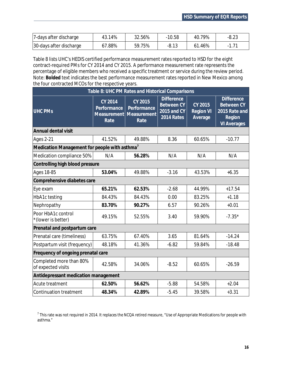| 7-days after discharge  | 43.14% | 32.56% | $-10.58$ | 40.79%      | -8.23 |
|-------------------------|--------|--------|----------|-------------|-------|
| 30-days after discharge | 67.88% | 59.75% | $-8.13$  | .46%<br>61. |       |

Table 8 lists UHC's HEDIS certified performance measurement rates reported to HSD for the eight contract-required PMs for CY 2014 and CY 2015. A performance measurement rate represents the percentage of eligible members who received a specific treatment or service during the review period. Note: **Bolded** text indicates the best performance measurement rates reported in New Mexico among the four contracted MCOs for the respective years.

| Table 8: UHC PM Rates and Historical Comparisons          |                                               |                                               |                                                                     |                                        |                                                                                         |  |  |
|-----------------------------------------------------------|-----------------------------------------------|-----------------------------------------------|---------------------------------------------------------------------|----------------------------------------|-----------------------------------------------------------------------------------------|--|--|
| <b>UHC PMs</b>                                            | CY 2014<br>Performance<br>Measurement<br>Rate | CY 2015<br>Performance<br>Measurement<br>Rate | <b>Difference</b><br><b>Between CY</b><br>2015 and CY<br>2014 Rates | CY 2015<br><b>Region VI</b><br>Average | <b>Difference</b><br><b>Between CY</b><br>2015 Rate and<br>Region<br><b>VI Averages</b> |  |  |
| Annual dental visit                                       |                                               |                                               |                                                                     |                                        |                                                                                         |  |  |
| <b>Ages 2-21</b>                                          | 41.52%                                        | 49.88%                                        | 8.36                                                                | 60.65%                                 | $-10.77$                                                                                |  |  |
| Medication Management for people with asthma <sup>7</sup> |                                               |                                               |                                                                     |                                        |                                                                                         |  |  |
| Medication compliance 50%                                 | N/A                                           | 56.28%                                        | N/A                                                                 | N/A                                    | N/A                                                                                     |  |  |
| Controlling high blood pressure                           |                                               |                                               |                                                                     |                                        |                                                                                         |  |  |
| <b>Ages 18-85</b>                                         | 53.04%                                        | 49.88%                                        | $-3.16$                                                             | 43.53%                                 | $+6.35$                                                                                 |  |  |
| Comprehensive diabetes care                               |                                               |                                               |                                                                     |                                        |                                                                                         |  |  |
| Eye exam                                                  | 65.21%                                        | 62.53%                                        | $-2.68$                                                             | 44.99%                                 | $+17.54$                                                                                |  |  |
| HbA1c testing                                             | 84.43%                                        | 84.43%                                        | 0.00                                                                | 83.25%                                 | $+1.18$                                                                                 |  |  |
| Nephropathy                                               | 83.70%                                        | 90.27%                                        | 6.57                                                                | 90.26%                                 | $+0.01$                                                                                 |  |  |
| Poor HbA1c control<br>*(lower is better)                  | 49.15%                                        | 52.55%                                        | 3.40                                                                | 59.90%                                 | $-7.35*$                                                                                |  |  |
| Prenatal and postpartum care                              |                                               |                                               |                                                                     |                                        |                                                                                         |  |  |
| Prenatal care (timeliness)                                | 63.75%                                        | 67.40%                                        | 3.65                                                                | 81.64%                                 | $-14.24$                                                                                |  |  |
| Postpartum visit (frequency)                              | 48.18%                                        | 41.36%                                        | $-6.82$                                                             | 59.84%                                 | $-18.48$                                                                                |  |  |
| Frequency of ongoing prenatal care                        |                                               |                                               |                                                                     |                                        |                                                                                         |  |  |
| Completed more than 80%<br>of expected visits             | 42.58%                                        | 34.06%                                        | $-8.52$                                                             | 60.65%                                 | $-26.59$                                                                                |  |  |
| Antidepressant medication management                      |                                               |                                               |                                                                     |                                        |                                                                                         |  |  |
| Acute treatment                                           | 62.50%                                        | 56.62%                                        | $-5.88$                                                             | 54.58%                                 | $+2.04$                                                                                 |  |  |
| <b>Continuation treatment</b>                             | 48.34%                                        | 42.89%                                        | $-5.45$                                                             | 39.58%                                 | $+3.31$                                                                                 |  |  |

 $^7$  This rate was not required in 2014. It replaces the NCQA retired measure, "Use of Appropriate Medications for people with asthma."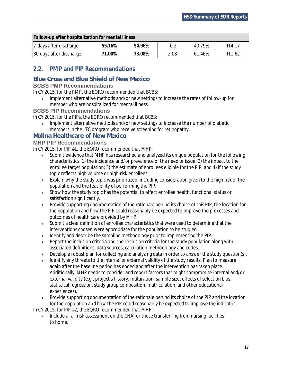| Follow-up after hospitalization for mental illness |        |        |        |        |          |  |
|----------------------------------------------------|--------|--------|--------|--------|----------|--|
| 7-days after discharge                             | 55.16% | 54.96% | $-0.2$ | 40.79% | $+14.17$ |  |
| 30-days after discharge                            | 71.00% | 73.08% | 2.08   | 61.46% | $+11.62$ |  |

# **2.2. PMP and PIP Recommendations**

# **Blue Cross and Blue Shield of New Mexico**

#### **BCBS PMP Recommendations**

In CY 2015, for the PMP, the EQRO recommended that BCBS:

· Implement alternative methods and/or new settings to increase the rates of follow-up for member who are hospitalized for mental illness.

#### **BCBS PIP Recommendations**

In CY 2015, for the PIPs, the EQRO recommended that BCBS:

· Implement alternative methods and/or new settings to increase the number of diabetic members in the LTC program who receive screening for retinopathy.

#### **Molina Healthcare of New Mexico**

#### **MHP PIP Recommendations**

In CY 2015, for PIP #1, the EQRO recommended that MHP:

- · Submit evidence that MHP has researched and analyzed its unique population for the following characteristics: 1) the incidence and/or prevalence of the need or issue; 2) the impact to the enrollee target population; 3) the estimate of enrollees eligible for the PIP; and 4) if the study topic reflects high volume or high-risk enrollees.
- · Explain why the study topic was prioritized, including consideration given to the high risk of the population and the feasibility of performing the PIP.
- · Show how the study topic has the potential to affect enrollee health, functional status or satisfaction significantly.
- · Provide supporting documentation of the rationale behind its choice of this PIP, the location for the population and how the PIP could reasonably be expected to improve the processes and outcomes of health care provided by MHP.
- · Submit a clear definition of enrollee characteristics that were used to determine that the interventions chosen were appropriate for the population to be studied.
- · Identify and describe the sampling methodology prior to implementing the PIP.
- Report the inclusion criteria and the exclusion criteria for the study population along with associated definitions, data sources, calculation methodology and codes.
- · Develop a robust plan for collecting and analyzing data in order to answer the study question(s).
- · Identify any threats to the internal or external validity of the study results. Plan to measure again after the baseline period has ended and after the intervention has taken place. Additionally, MHP needs to consider and report factors that might compromise internal and/or external validity (e.g., project's history, maturation, sample size, effects of selection bias, statistical regression, study group composition, matriculation, and other educational experiences).
- · Provide supporting documentation of the rationale behind its choice of the PIP and the location for the population and how the PIP could reasonably be expected to improve the indicator.

In CY 2015, for PIP #2, the EQRO recommended that MHP:

· Include a fall risk assessment on the CNA for those transferring from nursing facilities to home.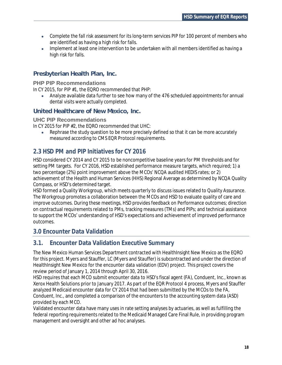- · Complete the fall risk assessment for its long-term services PIP for 100 percent of members who are identified as having a high risk for falls.
- · Implement at least one intervention to be undertaken with all members identified as having a high risk for falls.

# **Presbyterian Health Plan, Inc.**

#### **PHP PIP Recommendations**

In CY 2015, for PIP #1, the EQRO recommended that PHP:

· Analyze available data further to see how many of the 476 scheduled appointments for annual dental visits were actually completed.

#### **United Healthcare of New Mexico, Inc.**

#### **UHC PIP Recommendations**

In CY 2015 for PIP #2, the EQRO recommended that UHC:

Rephrase the study question to be more precisely defined so that it can be more accurately measured according to CMS EQR Protocol requirements.

# **2.3 HSD PM and PIP Initiatives for CY 2016**

HSD considered CY 2014 and CY 2015 to be noncompetitive baseline years for PM thresholds and for setting PM targets. For CY 2016, HSD established performance measure targets, which required; 1) a two percentage (2%) point improvement above the MCOs' NCQA audited HEDIS rates; or 2) achievement of the Health and Human Services (HHS) Regional Average as determined by NCQA Quality Compass, or HSD's determined target.

HSD formed a Quality Workgroup, which meets quarterly to discuss issues related to Quality Assurance. The Workgroup promotes a collaboration between the MCOs and HSD to evaluate quality of care and improve outcomes. During these meetings, HSD provides feedback on Performance outcomes; direction on contractual requirements related to PMs, tracking measures (TMs) and PIPs; and technical assistance to support the MCOs' understanding of HSD's expectations and achievement of improved performance outcomes.

# **3.0 Encounter Data Validation**

# **3.1. Encounter Data Validation Executive Summary**

The New Mexico Human Services Department contracted with HealthInsight New Mexico as the EQRO for this project. Myers and Stauffer, LC (Myers and Stauffer) is subcontracted and under the direction of HealthInsight New Mexico for the encounter data validation (EDV) project. This project covers the review period of January 1, 2014 through April 30, 2016.

HSD requires that each MCO submit encounter data to HSD's fiscal agent (FA), Conduent, Inc., known as Xerox Health Solutions prior to January 2017. As part of the EQR Protocol 4 process, Myers and Stauffer analyzed Medicaid encounter data for CY 2014 that had been submitted by the MCOs to the FA, Conduent, Inc., and completed a comparison of the encounters to the accounting system data (ASD) provided by each MCO.

Validated encounter data have many uses in rate setting analyses by actuaries, as well as fulfilling the federal reporting requirements related to the Medicaid Managed Care Final Rule, in providing program management and oversight and other ad hoc analyses.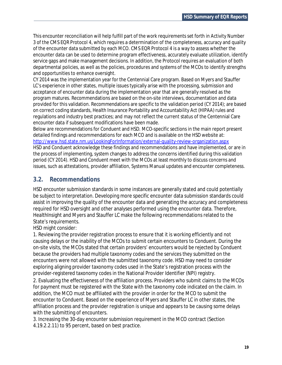This encounter reconciliation will help fulfill part of the work requirements set forth in Activity Number 3 of the CMS EQR Protocol 4, which requires a determination of the completeness, accuracy and quality of the encounter data submitted by each MCO. CMS EQR Protocol 4 is a way to assess whether the encounter data can be used to determine program effectiveness, accurately evaluate utilization, identify service gaps and make management decisions. In addition, the Protocol requires an evaluation of both departmental policies, as well as the policies, procedures and systems of the MCOs to identify strengths and opportunities to enhance oversight.

CY 2014 was the implementation year for the Centennial Care program. Based on Myers and Stauffer LC's experience in other states, multiple issues typically arise with the processing, submission and acceptance of encounter data during the implementation year that are generally resolved as the program matures. Recommendations are based on the on-site interviews, documentation and data provided for this validation. Recommendations are specific to the validation period (CY 2014); are based on correct coding standards, Health Insurance Portability and Accountability Act (HIPAA) rules and regulations and industry best practices; and may not reflect the current status of the Centennial Care encounter data if subsequent modifications have been made.

Below are recommendations for Conduent and HSD. MCO-specific sections in the main report present detailed findings and recommendations for each MCO and is available on the HSD website at: http://www.hsd.state.nm.us/LookingForInformation/external-quality-review-organization.aspx HSD and Conduent acknowledge these findings and recommendations and have implemented, or are in the process of implementing, system changes to address the concerns identified during this validation period (CY 2014). HSD and Conduent meet with the MCOs at least monthly to discuss concerns and issues, such as attestations, provider affiliation, Systems Manual updates and encounter completeness.

# **3.2. Recommendations**

HSD encounter submission standards in some instances are generally stated and could potentially be subject to interpretation. Developing more specific encounter data submission standards could assist in improving the quality of the encounter data and generating the accuracy and completeness required for HSD oversight and other analyses performed using the encounter data. Therefore, HealthInsight and Myers and Stauffer LC make the following recommendations related to the State's requirements.

#### HSD might consider:

1. Reviewing the provider registration process to ensure that it is working efficiently and not causing delays or the inability of the MCOs to submit certain encounters to Conduent. During the on-site visits, the MCOs stated that certain providers' encounters would be rejected by Conduent because the providers had multiple taxonomy codes and the services they submitted on the encounters were not allowed with the submitted taxonomy code. HSD may need to consider exploring aligning provider taxonomy codes used in the State's registration process with the provider-registered taxonomy codes in the National Provider Identifier (NPI) registry.

2. Evaluating the effectiveness of the affiliation process. Providers who submit claims to the MCOs for payment must be registered with the State with the taxonomy code indicated on the claim. In addition, the MCO must be affiliated with the provider in order for the MCO to submit the encounter to Conduent. Based on the experience of Myers and Stauffer LC in other states, the affiliation process and the provider registration is unique and appears to be causing some delays with the submitting of encounters.

3. Increasing the 30-day encounter submission requirement in the MCO contract (Section 4.19.2.2.11) to 95 percent, based on best practice.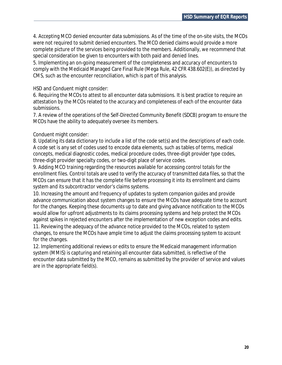4. Accepting MCO denied encounter data submissions. As of the time of the on-site visits, the MCOs were not required to submit denied encounters. The MCO denied claims would provide a more complete picture of the services being provided to the members. Additionally, we recommend that special consideration be given to encounters with both paid and denied lines.

5. Implementing an on-going measurement of the completeness and accuracy of encounters to comply with the Medicaid Managed Care Final Rule (Mega Rule, 42 CFR 438.602(E)), as directed by CMS, such as the encounter reconciliation, which is part of this analysis.

#### HSD and Conduent might consider:

6. Requiring the MCOs to attest to all encounter data submissions. It is best practice to require an attestation by the MCOs related to the accuracy and completeness of each of the encounter data submissions.

7. A review of the operations of the Self-Directed Community Benefit (SDCB) program to ensure the MCOs have the ability to adequately oversee its members.

#### Conduent might consider:

8. Updating its data dictionary to include a list of the code set(s) and the descriptions of each code. A code set is any set of codes used to encode data elements, such as tables of terms, medical concepts, medical diagnostic codes, medical procedure codes, three-digit provider type codes, three-digit provider specialty codes, or two-digit place of service codes.

9. Adding MCO training regarding the resources available for accessing control totals for the enrollment files. Control totals are used to verify the accuracy of transmitted data files, so that the MCOs can ensure that it has the complete file before processing it into its enrollment and claims system and its subcontractor vendor's claims systems.

10. Increasing the amount and frequency of updates to system companion guides and provide advance communication about system changes to ensure the MCOs have adequate time to account for the changes. Keeping these documents up to date and giving advance notification to the MCOs would allow for upfront adjustments to its claims processing systems and help protect the MCOs against spikes in rejected encounters after the implementation of new exception codes and edits.

11. Reviewing the adequacy of the advance notice provided to the MCOs, related to system changes, to ensure the MCOs have ample time to adjust the claims processing system to account for the changes.

12. Implementing additional reviews or edits to ensure the Medicaid management information system (MMIS) is capturing and retaining all encounter data submitted, is reflective of the encounter data submitted by the MCO, remains as submitted by the provider of service and values are in the appropriate field(s).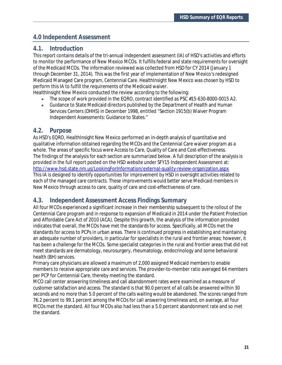# **4.0 Independent Assessment**

# **4.1. Introduction**

This report contains details of the tri-annual independent assessment (IA) of HSD's activities and efforts to monitor the performance of New Mexico MCOs. It fulfills federal and state requirements for oversight of the Medicaid MCOs. The information reviewed was collected from HSD for CY 2014 (January 1 through December 31, 2014). This was the first year of implementation of New Mexico's redesigned Medicaid Managed Care program, Centennial Care. HealthInsight New Mexico was chosen by HSD to perform this IA to fulfill the requirements of the Medicaid waiver.

HealthInsight New Mexico conducted the review according to the following:

- · The scope of work provided in the EQRO, contract identified as PSC #15-630-8000-0015 A2.
- · Guidance to State Medicaid directors published by the Department of Health and Human Services Centers (DHHS) in December 1998, entitled "Section 1915(b) Waiver Program Independent Assessments: Guidance to States."

#### **4.2. Purpose**

As HSD's EQRO, HealthInsight New Mexico performed an in-depth analysis of quantitative and qualitative information obtained regarding the MCOs and the Centennial Care waiver program as a whole. The areas of specific focus were Access to Care, Quality of Care and Cost-effectiveness. The findings of the analysis for each section are summarized below. A full description of the analysis is provided in the full report posted on the HSD website under SFY15 Independent Assessment at: http://www.hsd.state.nm.us/LookingForInformation/external-quality-review-organization.aspx This IA is designed to identify opportunities for improvement by HSD in oversight activities related to each of the managed care contracts. These improvements would better serve Medicaid members in New Mexico through access to care, quality of care and cost-effectiveness of care.

# **4.3. Independent Assessment Access Findings Summary**

All four MCOs experienced a significant increase in their membership subsequent to the rollout of the Centennial Care program and in response to expansion of Medicaid in 2014 under the Patient Protection and Affordable Care Act of 2010 (ACA). Despite this growth, the analysis of the information provided indicates that overall, the MCOs have met the standards for access. Specifically, all MCOs met the standards for access to PCPs in urban areas. There is continued progress in establishing and maintaining an adequate number of providers, in particular for specialists in the rural and frontier areas; however, it has been a challenge for the MCOs. Some specialist categories in the rural and frontier areas that did not meet standards are dermatology, neurosurgery, rheumatology, endocrinology and some behavioral health (BH) services.

Primary care physicians are allowed a maximum of 2,000 assigned Medicaid members to enable members to receive appropriate care and services. The provider-to-member ratio averaged 64 members per PCP for Centennial Care, thereby meeting the standard.

MCO call center answering timeliness and call abandonment rates were examined as a measure of customer satisfaction and access. The standard is that 90.0 percent of all calls be answered within 30 seconds and no more than 5.0 percent of the calls waiting would be abandoned. The scores ranged from 76.2 percent to 99.1 percent among the MCOs for call answering timeliness and, on average, all four MCOs met the standard. All four MCOs also had less than a 5.0 percent abandonment rate and so met the standard.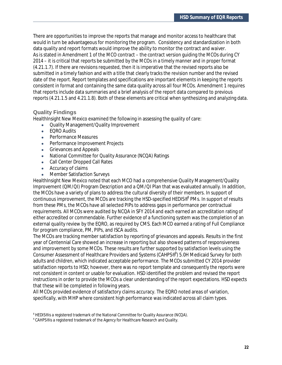There are opportunities to improve the reports that manage and monitor access to healthcare that would in turn be advantageous for monitoring the program. Consistency and standardization in both data quality and report formats would improve the ability to monitor the contract and waiver. As is stated in Amendment 1 of the MCO contract – the contract version guiding the MCOs during CY 2014 – it is critical that reports be submitted by the MCOs in a timely manner and in proper format (4.21.1.7). If there are revisions requested, then it is imperative that the revised reports also be submitted in a timely fashion and with a title that clearly tracks the revision number and the revised date of the report. Report templates and specifications are important elements in keeping the reports consistent in format and containing the same data quality across all four MCOs. Amendment 1 requires that reports include data summaries and a brief analysis of the report data compared to previous reports (4.21.1.5 and 4.21.1.8). Both of these elements are critical when synthesizing and analyzing data.

#### **Quality Findings**

HealthInsight New Mexico examined the following in assessing the quality of care:

- · Quality Management/Quality Improvement
- · EQRO Audits
- · Performance Measures
- · Performance Improvement Projects
- · Grievances and Appeals
- · National Committee for Quality Assurance (NCQA) Ratings
- · Call Center Dropped Call Rates
- · Accuracy of claims
- · Member Satisfaction Surveys

HealthInsight New Mexico noted that each MCO had a comprehensive Quality Management/Quality Improvement (QM/QI) Program Description and a QM/QI Plan that was evaluated annually. In addition, the MCOs have a variety of plans to address the cultural diversity of their members. In support of continuous improvement, the MCOs are tracking the HSD-specified HEDIS®<sup>8</sup> PMs. In support of results from these PMs, the MCOs have all selected PIPs to address gaps in performance per contractual requirements. All MCOs were audited by NCQA in SFY 2014 and each earned an accreditation rating of either accredited or commendable. Further evidence of a functioning system was the completion of an external quality review by the EQRO, as required by CMS. Each MCO earned a rating of Full Compliance for program compliance, PM, PIPs, and ISCA audits.

The MCOs are tracking member satisfaction by reporting of grievances and appeals. Results in the first year of Centennial Care showed an increase in reporting but also showed patterns of responsiveness and improvement by some MCOs. These results are further supported by satisfaction levels using the Consumer Assessment of Healthcare Providers and Systems (CAHPS®<sup>9</sup>) 5.0H Medicaid Survey for both adults and children, which indicated acceptable performance. The MCOs submitted CY 2014 provider satisfaction reports to HSD; however, there was no report template and consequently the reports were not consistent in content or usable for evaluation. HSD identified the problem and revised the report instructions in order to provide the MCOs a clear understanding of the report expectations. HSD expects that these will be completed in following years.

All MCOs provided evidence of satisfactory claims accuracy. The EQRO noted areas of variation, specifically, with MHP where consistent high performance was indicated across all claim types.

*<sup>8</sup>* HEDIS® is a registered trademark of the National Committee for Quality Assurance (NCQA).

 $^9$  CAHPS® is a registered trademark of the Agency for Healthcare Research and Quality.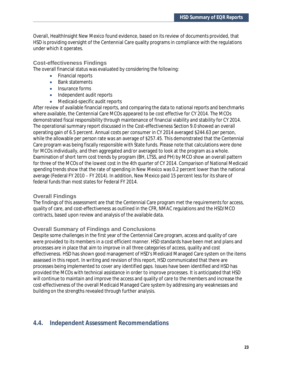Overall, HealthInsight New Mexico found evidence, based on its review of documents provided, that HSD is providing oversight of the Centennial Care quality programs in compliance with the regulations under which it operates.

#### **Cost-effectiveness Findings**

The overall financial status was evaluated by considering the following:

- · Financial reports
- · Bank statements
- Insurance forms
- · Independent audit reports
- · Medicaid-specific audit reports

After review of available financial reports, and comparing the data to national reports and benchmarks where available, the Centennial Care MCOs appeared to be cost effective for CY 2014. The MCOs demonstrated fiscal responsibility through maintenance of financial viability and stability for CY 2014. The operational summary report discussed in the Cost-effectiveness Section 9.0 showed an overall operating gain of 6.5 percent. Annual costs per consumer in CY 2014 averaged \$244.63 per person, while the allowable per person rate was an average of \$257.45. This demonstrated that the Centennial Care program was being fiscally responsible with State funds. Please note that calculations were done for MCOs individually, and then aggregated and/or averaged to look at the program as a whole. Examination of short term cost trends by program (BH, LTSS, and PH) by MCO show an overall pattern for three of the MCOs of the lowest cost in the 4th quarter of CY 2014. Comparison of National Medicaid spending trends show that the rate of spending in New Mexico was 0.2 percent lower than the national average (Federal FY 2010 – FY 2014). In addition, New Mexico paid 15 percent less for its share of federal funds than most states for Federal FY 2014.

#### **Overall Findings**

The findings of this assessment are that the Centennial Care program met the requirements for access, quality of care, and cost-effectiveness as outlined in the CFR, NMAC regulations and the HSD/MCO contracts, based upon review and analysis of the available data.

#### **Overall Summary of Findings and Conclusions**

Despite some challenges in the first year of the Centennial Care program, access and quality of care were provided to its members in a cost efficient manner. HSD standards have been met and plans and processes are in place that aim to improve in all three categories of access, quality and cost effectiveness. HSD has shown good management of HSD's Medicaid Managed Care system on the items assessed in this report. In writing and revision of this report, HSD communicated that there are processes being implemented to cover any identified gaps. Issues have been identified and HSD has provided the MCOs with technical assistance in order to improve processes. It is anticipated that HSD will continue to maintain and improve the access and quality of care to the members and increase the cost-effectiveness of the overall Medicaid Managed Care system by addressing any weaknesses and building on the strengths revealed through further analysis.

# **4.4. Independent Assessment Recommendations**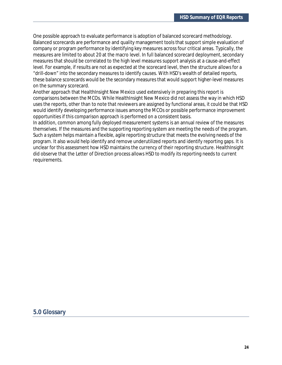One possible approach to evaluate performance is adoption of balanced scorecard methodology. Balanced scorecards are performance and quality management tools that support simple evaluation of company or program performance by identifying key measures across four critical areas. Typically, the measures are limited to about 20 at the macro level. In full balanced scorecard deployment, secondary measures that should be correlated to the high level measures support analysis at a cause-and-effect level. For example, if results are not as expected at the scorecard level, then the structure allows for a "drill-down" into the secondary measures to identify causes. With HSD's wealth of detailed reports, these balance scorecards would be the secondary measures that would support higher-level measures on the summary scorecard.

Another approach that HealthInsight New Mexico used extensively in preparing this report is comparisons between the MCOs. While HealthInsight New Mexico did not assess the way in which HSD uses the reports, other than to note that reviewers are assigned by functional areas, it could be that HSD would identify developing performance issues among the MCOs or possible performance improvement opportunities if this comparison approach is performed on a consistent basis.

In addition, common among fully deployed measurement systems is an annual review of the measures themselves. If the measures and the supporting reporting system are meeting the needs of the program. Such a system helps maintain a flexible, agile reporting structure that meets the evolving needs of the program. It also would help identify and remove underutilized reports and identify reporting gaps. It is unclear for this assessment how HSD maintains the currency of their reporting structure. HealthInsight did observe that the Letter of Direction process allows HSD to modify its reporting needs to current requirements.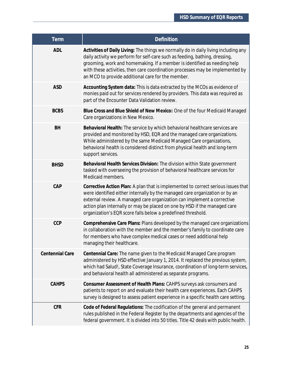| <b>Term</b>     | Definition                                                                                                                                                                                                                                                                                                                                                                               |
|-----------------|------------------------------------------------------------------------------------------------------------------------------------------------------------------------------------------------------------------------------------------------------------------------------------------------------------------------------------------------------------------------------------------|
| ADL             | Activities of Daily Living: The things we normally do in daily living including any<br>daily activity we perform for self-care such as feeding, bathing, dressing,<br>grooming, work and homemaking. If a member is identified as needing help<br>with these activities, then care coordination processes may be implemented by<br>an MCO to provide additional care for the member.     |
| <b>ASD</b>      | Accounting System data: This is data extracted by the MCOs as evidence of<br>monies paid out for services rendered by providers. This data was required as<br>part of the Encounter Data Validation review.                                                                                                                                                                              |
| <b>BCBS</b>     | Blue Cross and Blue Shield of New Mexico: One of the four Medicaid Managed<br>Care organizations in New Mexico.                                                                                                                                                                                                                                                                          |
| <b>BH</b>       | Behavioral Health: The service by which behavioral healthcare services are<br>provided and monitored by HSD, EQR and the managed care organizations.<br>While administered by the same Medicaid Managed Care organizations,<br>behavioral health is considered distinct from physical health and long-term<br>support services.                                                          |
| <b>BHSD</b>     | Behavioral Health Services Division: The division within State government<br>tasked with overseeing the provision of behavioral healthcare services for<br>Medicaid members.                                                                                                                                                                                                             |
| CAP             | Corrective Action Plan: A plan that is implemented to correct serious issues that<br>were identified either internally by the managed care organization or by an<br>external review. A managed care organization can implement a corrective<br>action plan internally or may be placed on one by HSD if the managed care<br>organization's EQR score falls below a predefined threshold. |
| CCP             | Comprehensive Care Plans: Plans developed by the managed care organizations<br>in collaboration with the member and the member's family to coordinate care<br>for members who have complex medical cases or need additional help<br>managing their healthcare.                                                                                                                           |
| Centennial Care | Centennial Care: The name given to the Medicaid Managed Care program<br>administered by HSD effective January 1, 2014. It replaced the previous system,<br>which had Salud!, State Coverage Insurance, coordination of long-term services,<br>and behavioral health all administered as separate programs.                                                                               |
| <b>CAHPS</b>    | Consumer Assessment of Health Plans: CAHPS surveys ask consumers and<br>patients to report on and evaluate their health care experiences. Each CAHPS<br>survey is designed to assess patient experience in a specific health care setting.                                                                                                                                               |
| <b>CFR</b>      | Code of Federal Regulations: The codification of the general and permanent<br>rules published in the Federal Register by the departments and agencies of the<br>federal government. It is divided into 50 titles. Title 42 deals with public health.                                                                                                                                     |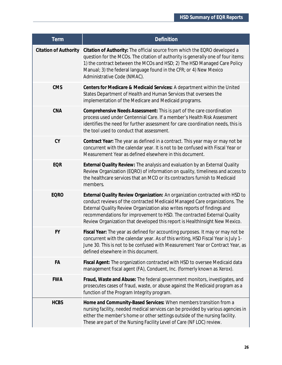| Term                         | Definition                                                                                                                                                                                                                                                                                                                                                                                       |
|------------------------------|--------------------------------------------------------------------------------------------------------------------------------------------------------------------------------------------------------------------------------------------------------------------------------------------------------------------------------------------------------------------------------------------------|
| <b>Citation of Authority</b> | Citation of Authority: The official source from which the EQRO developed a<br>question for the MCOs. The citation of authority is generally one of four items:<br>1) the contract between the MCOs and HSD; 2) The HSD Managed Care Policy<br>Manual; 3) the federal language found in the CFR; or 4) New Mexico<br>Administrative Code (NMAC).                                                  |
| <b>CMS</b>                   | Centers for Medicare & Medicaid Services: A department within the United<br>States Department of Health and Human Services that oversees the<br>implementation of the Medicare and Medicaid programs.                                                                                                                                                                                            |
| CNA                          | Comprehensive Needs Assessment: This is part of the care coordination<br>process used under Centennial Care. If a member's Health Risk Assessment<br>identifies the need for further assessment for care coordination needs, this is<br>the tool used to conduct that assessment.                                                                                                                |
| CY                           | Contract Year: The year as defined in a contract. This year may or may not be<br>concurrent with the calendar year. It is not to be confused with Fiscal Year or<br>Measurement Year as defined elsewhere in this document.                                                                                                                                                                      |
| <b>EQR</b>                   | External Quality Review: The analysis and evaluation by an External Quality<br>Review Organization (EQRO) of information on quality, timeliness and access to<br>the healthcare services that an MCO or its contractors furnish to Medicaid<br>members.                                                                                                                                          |
| <b>EQRO</b>                  | External Quality Review Organization: An organization contracted with HSD to<br>conduct reviews of the contracted Medicaid Managed Care organizations. The<br>External Quality Review Organization also writes reports of findings and<br>recommendations for improvement to HSD. The contracted External Quality<br>Review Organization that developed this report is HealthInsight New Mexico. |
| <b>FY</b>                    | Fiscal Year: The year as defined for accounting purposes. It may or may not be<br>concurrent with the calendar year. As of this writing, HSD Fiscal Year is July 1-<br>June 30. This is not to be confused with Measurement Year or Contract Year, as<br>defined elsewhere in this document.                                                                                                     |
| FA                           | Fiscal Agent: The organization contracted with HSD to oversee Medicaid data<br>management fiscal agent (FA), Conduent, Inc. (formerly known as Xerox).                                                                                                                                                                                                                                           |
| <b>FWA</b>                   | Fraud, Waste and Abuse: The federal government monitors, investigates, and<br>prosecutes cases of fraud, waste, or abuse against the Medicaid program as a<br>function of the Program Integrity program.                                                                                                                                                                                         |
| <b>HCBS</b>                  | Home and Community-Based Services: When members transition from a<br>nursing facility, needed medical services can be provided by various agencies in<br>either the member's home or other settings outside of the nursing facility.<br>These are part of the Nursing Facility Level of Care (NF LOC) review.                                                                                    |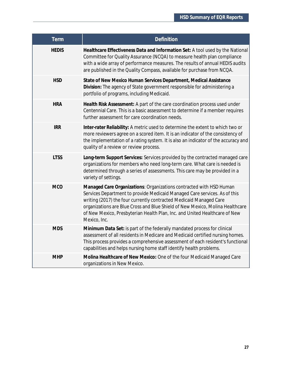| <b>Term</b>  | Definition                                                                                                                                                                                                                                                                                                                                                                                            |
|--------------|-------------------------------------------------------------------------------------------------------------------------------------------------------------------------------------------------------------------------------------------------------------------------------------------------------------------------------------------------------------------------------------------------------|
| <b>HEDIS</b> | Healthcare Effectiveness Data and Information Set: A tool used by the National<br>Committee for Quality Assurance (NCQA) to measure health plan compliance<br>with a wide array of performance measures. The results of annual HEDIS audits<br>are published in the Quality Compass, available for purchase from NCQA.                                                                                |
| <b>HSD</b>   | State of New Mexico Human Services Department, Medical Assistance<br>Division: The agency of State government responsible for administering a<br>portfolio of programs, including Medicaid.                                                                                                                                                                                                           |
| <b>HRA</b>   | Health Risk Assessment: A part of the care coordination process used under<br>Centennial Care. This is a basic assessment to determine if a member requires<br>further assessment for care coordination needs.                                                                                                                                                                                        |
| <b>IRR</b>   | Inter-rater Reliability: A metric used to determine the extent to which two or<br>more reviewers agree on a scored item. It is an indicator of the consistency of<br>the implementation of a rating system. It is also an indicator of the accuracy and<br>quality of a review or review process.                                                                                                     |
| <b>LTSS</b>  | Long-term Support Services: Services provided by the contracted managed care<br>organizations for members who need long-term care. What care is needed is<br>determined through a series of assessments. This care may be provided in a<br>variety of settings.                                                                                                                                       |
| <b>MCO</b>   | Managed Care Organizations: Organizations contracted with HSD Human<br>Services Department to provide Medicaid Managed Care services. As of this<br>writing (2017) the four currently contracted Medicaid Managed Care<br>organizations are Blue Cross and Blue Shield of New Mexico, Molina Healthcare<br>of New Mexico, Presbyterian Health Plan, Inc. and United Healthcare of New<br>Mexico, Inc. |
| <b>MDS</b>   | Minimum Data Set: is part of the federally mandated process for clinical<br>assessment of all residents in Medicare and Medicaid certified nursing homes.<br>This process provides a comprehensive assessment of each resident's functional<br>capabilities and helps nursing home staff identify health problems.                                                                                    |
| <b>MHP</b>   | Molina Healthcare of New Mexico: One of the four Medicaid Managed Care<br>organizations in New Mexico.                                                                                                                                                                                                                                                                                                |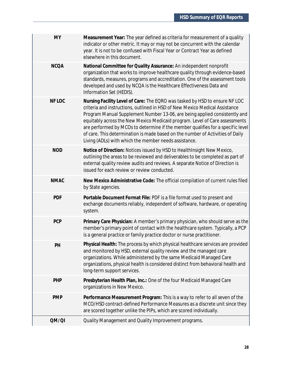| <b>MY</b>   | Measurement Year: The year defined as criteria for measurement of a quality<br>indicator or other metric. It may or may not be concurrent with the calendar<br>year. It is not to be confused with Fiscal Year or Contract Year as defined<br>elsewhere in this document.                                                                                                                                                                                                                                                                             |
|-------------|-------------------------------------------------------------------------------------------------------------------------------------------------------------------------------------------------------------------------------------------------------------------------------------------------------------------------------------------------------------------------------------------------------------------------------------------------------------------------------------------------------------------------------------------------------|
| <b>NCQA</b> | National Committee for Quality Assurance: An independent nonprofit<br>organization that works to improve healthcare quality through evidence-based<br>standards, measures, programs and accreditation. One of the assessment tools<br>developed and used by NCQA is the Healthcare Effectiveness Data and<br>Information Set (HEDIS).                                                                                                                                                                                                                 |
| NF LOC      | Nursing Facility Level of Care: The EQRO was tasked by HSD to ensure NF LOC<br>criteria and instructions, outlined in HSD of New Mexico Medical Assistance<br>Program Manual Supplement Number 13-06, are being applied consistently and<br>equitably across the New Mexico Medicaid program. Level of Care assessments<br>are performed by MCOs to determine if the member qualifies for a specific level<br>of care. This determination is made based on the number of Activities of Daily<br>Living (ADLs) with which the member needs assistance. |
| <b>NOD</b>  | Notice of Direction: Notices issued by HSD to HealthInsight New Mexico,<br>outlining the areas to be reviewed and deliverables to be completed as part of<br>external quality review audits and reviews. A separate Notice of Direction is<br>issued for each review or review conducted.                                                                                                                                                                                                                                                             |
| <b>NMAC</b> | New Mexico Administrative Code: The official compilation of current rules filed<br>by State agencies.                                                                                                                                                                                                                                                                                                                                                                                                                                                 |
| <b>PDF</b>  | Portable Document Format File: PDF is a file format used to present and<br>exchange documents reliably, independent of software, hardware, or operating<br>system.                                                                                                                                                                                                                                                                                                                                                                                    |
| <b>PCP</b>  | Primary Care Physician: A member's primary physician, who should serve as the<br>member's primary point of contact with the healthcare system. Typically, a PCP<br>is a general practice or family practice doctor or nurse practitioner.                                                                                                                                                                                                                                                                                                             |
| PH          | Physical Health: The process by which physical healthcare services are provided<br>and monitored by HSD, external quality review and the managed care<br>organizations. While administered by the same Medicaid Managed Care<br>organizations, physical health is considered distinct from behavioral health and<br>long-term support services.                                                                                                                                                                                                       |
| PHP         | Presbyterian Health Plan, Inc.: One of the four Medicaid Managed Care<br>organizations in New Mexico.                                                                                                                                                                                                                                                                                                                                                                                                                                                 |
| <b>PMP</b>  | Performance Measurement Program: This is a way to refer to all seven of the<br>MCO/HSD contract-defined Performance Measures as a discrete unit since they<br>are scored together unlike the PIPs, which are scored individually.                                                                                                                                                                                                                                                                                                                     |
| QM/QI       | Quality Management and Quality Improvement programs.                                                                                                                                                                                                                                                                                                                                                                                                                                                                                                  |